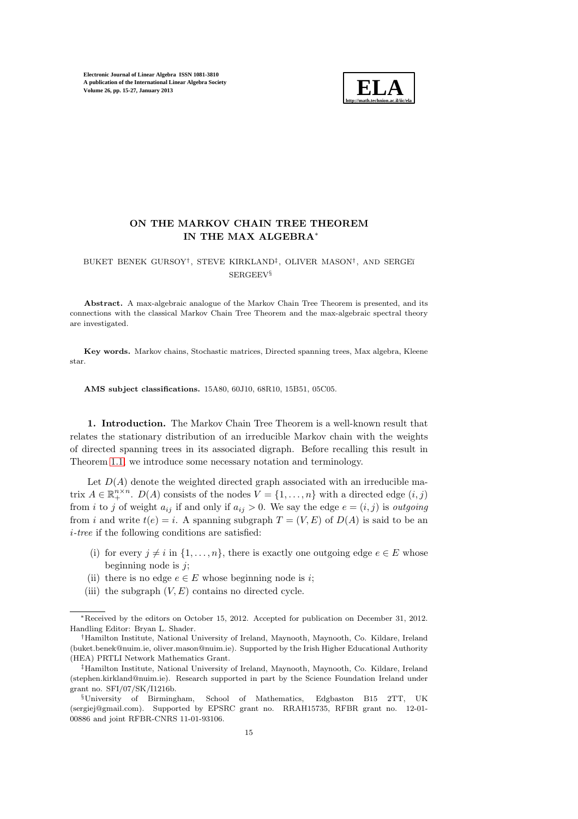

# ON THE MARKOV CHAIN TREE THEOREM IN THE MAX ALGEBRA<sup>∗</sup>

## BUKET BENEK GURSOY<sup>†</sup>, STEVE KIRKLAND<sup>‡</sup>, OLIVER MASON<sup>†</sup>, AND SERGEĭ SERGEEV§

Abstract. A max-algebraic analogue of the Markov Chain Tree Theorem is presented, and its connections with the classical Markov Chain Tree Theorem and the max-algebraic spectral theory are investigated.

Key words. Markov chains, Stochastic matrices, Directed spanning trees, Max algebra, Kleene star.

AMS subject classifications. 15A80, 60J10, 68R10, 15B51, 05C05.

1. Introduction. The Markov Chain Tree Theorem is a well-known result that relates the stationary distribution of an irreducible Markov chain with the weights of directed spanning trees in its associated digraph. Before recalling this result in Theorem [1.1,](#page-1-0) we introduce some necessary notation and terminology.

Let  $D(A)$  denote the weighted directed graph associated with an irreducible matrix  $A \in \mathbb{R}_+^{n \times n}$ .  $D(A)$  consists of the nodes  $V = \{1, ..., n\}$  with a directed edge  $(i, j)$ from i to j of weight  $a_{ij}$  if and only if  $a_{ij} > 0$ . We say the edge  $e = (i, j)$  is outgoing from i and write  $t(e) = i$ . A spanning subgraph  $T = (V, E)$  of  $D(A)$  is said to be an  $i$ -tree if the following conditions are satisfied:

- (i) for every  $j \neq i$  in  $\{1, \ldots, n\}$ , there is exactly one outgoing edge  $e \in E$  whose beginning node is  $j$ ;
- (ii) there is no edge  $e \in E$  whose beginning node is *i*;
- (iii) the subgraph  $(V, E)$  contains no directed cycle.

<sup>∗</sup>Received by the editors on October 15, 2012. Accepted for publication on December 31, 2012. Handling Editor: Bryan L. Shader.

<sup>†</sup>Hamilton Institute, National University of Ireland, Maynooth, Maynooth, Co. Kildare, Ireland (buket.benek@nuim.ie, oliver.mason@nuim.ie). Supported by the Irish Higher Educational Authority (HEA) PRTLI Network Mathematics Grant.

<sup>‡</sup>Hamilton Institute, National University of Ireland, Maynooth, Maynooth, Co. Kildare, Ireland (stephen.kirkland@nuim.ie). Research supported in part by the Science Foundation Ireland under grant no. SFI/07/SK/I1216b.

<sup>§</sup>University of Birmingham, School of Mathematics, Edgbaston B15 2TT, UK (sergiej@gmail.com). Supported by EPSRC grant no. RRAH15735, RFBR grant no. 12-01- 00886 and joint RFBR-CNRS 11-01-93106.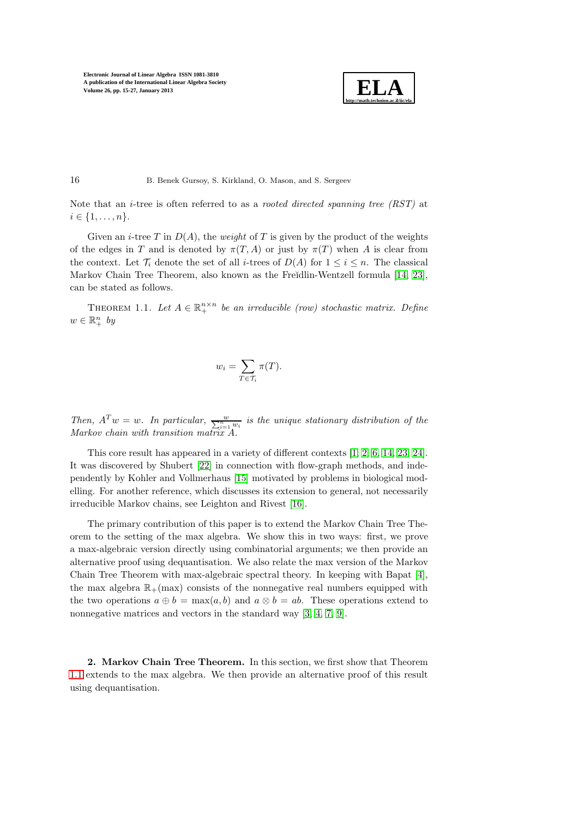

Note that an *i*-tree is often referred to as a *rooted directed spanning tree*  $(RST)$  at  $i \in \{1, \ldots, n\}.$ 

Given an *i*-tree T in  $D(A)$ , the *weight* of T is given by the product of the weights of the edges in T and is denoted by  $\pi(T, A)$  or just by  $\pi(T)$  when A is clear from the context. Let  $\mathcal{T}_i$  denote the set of all *i*-trees of  $D(A)$  for  $1 \leq i \leq n$ . The classical Markov Chain Tree Theorem, also known as the Freĭdlin-Wentzell formula [\[14,](#page-11-0) [23\]](#page-12-0), can be stated as follows.

<span id="page-1-0"></span>THEOREM 1.1. Let  $A \in \mathbb{R}^{n \times n}_+$  be an irreducible (row) stochastic matrix. Define  $w \in \mathbb{R}^n_+$  by

$$
w_i = \sum_{T \in \mathcal{T}_i} \pi(T).
$$

Then,  $A^T w = w$ . In particular,  $\frac{w}{\sum_{i=1}^n w_i}$  is the unique stationary distribution of the Markov chain with transition matrix A.

This core result has appeared in a variety of different contexts [\[1,](#page-11-1) [2,](#page-11-2) [6,](#page-11-3) [14,](#page-11-0) [23,](#page-12-0) [24\]](#page-12-1). It was discovered by Shubert [\[22\]](#page-12-2) in connection with flow-graph methods, and independently by Kohler and Vollmerhaus [\[15\]](#page-12-3) motivated by problems in biological modelling. For another reference, which discusses its extension to general, not necessarily irreducible Markov chains, see Leighton and Rivest [\[16\]](#page-12-4).

The primary contribution of this paper is to extend the Markov Chain Tree Theorem to the setting of the max algebra. We show this in two ways: first, we prove a max-algebraic version directly using combinatorial arguments; we then provide an alternative proof using dequantisation. We also relate the max version of the Markov Chain Tree Theorem with max-algebraic spectral theory. In keeping with Bapat [\[4\]](#page-11-4), the max algebra  $\mathbb{R}_+$ (max) consists of the nonnegative real numbers equipped with the two operations  $a \oplus b = \max(a, b)$  and  $a \otimes b = ab$ . These operations extend to nonnegative matrices and vectors in the standard way [\[3,](#page-11-5) [4,](#page-11-4) [7,](#page-11-6) [9\]](#page-11-7).

2. Markov Chain Tree Theorem. In this section, we first show that Theorem [1.1](#page-1-0) extends to the max algebra. We then provide an alternative proof of this result using dequantisation.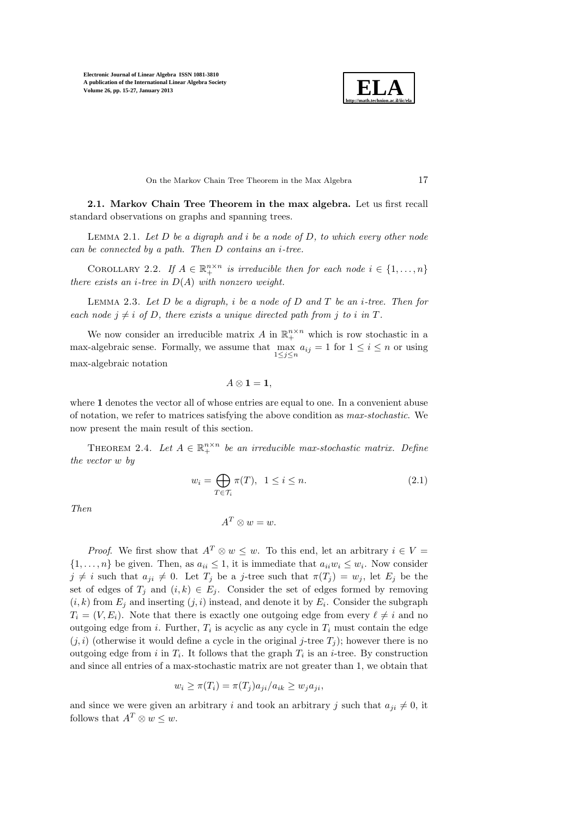

On the Markov Chain Tree Theorem in the Max Algebra 17

<span id="page-2-3"></span>2.1. Markov Chain Tree Theorem in the max algebra. Let us first recall standard observations on graphs and spanning trees.

LEMMA 2.1. Let  $D$  be a digraph and i be a node of  $D$ , to which every other node can be connected by a path. Then D contains an i-tree.

<span id="page-2-0"></span>COROLLARY 2.2. If  $A \in \mathbb{R}_+^{n \times n}$  is irreducible then for each node  $i \in \{1, ..., n\}$ there exists an *i*-tree in  $D(A)$  with nonzero weight.

LEMMA 2.3. Let  $D$  be a digraph, i be a node of  $D$  and  $T$  be an i-tree. Then for each node  $j \neq i$  of D, there exists a unique directed path from j to i in T.

We now consider an irreducible matrix A in  $\mathbb{R}^{n \times n}_+$  which is row stochastic in a max-algebraic sense. Formally, we assume that  $\max_{1 \leq j \leq n} a_{ij} = 1$  for  $1 \leq i \leq n$  or using max-algebraic notation

$$
A\otimes \mathbf{1}=\mathbf{1},
$$

where 1 denotes the vector all of whose entries are equal to one. In a convenient abuse of notation, we refer to matrices satisfying the above condition as max-stochastic. We now present the main result of this section.

<span id="page-2-2"></span>THEOREM 2.4. Let  $A \in \mathbb{R}_+^{n \times n}$  be an irreducible max-stochastic matrix. Define the vector w by

<span id="page-2-1"></span>
$$
w_i = \bigoplus_{T \in \mathcal{T}_i} \pi(T), \ \ 1 \le i \le n. \tag{2.1}
$$

Then

$$
A^T \otimes w = w.
$$

*Proof.* We first show that  $A^T \otimes w \leq w$ . To this end, let an arbitrary  $i \in V =$  $\{1, \ldots, n\}$  be given. Then, as  $a_{ii} \leq 1$ , it is immediate that  $a_{ii}w_i \leq w_i$ . Now consider  $j \neq i$  such that  $a_{ji} \neq 0$ . Let  $T_j$  be a j-tree such that  $\pi(T_j) = w_j$ , let  $E_j$  be the set of edges of  $T_j$  and  $(i, k) \in E_j$ . Consider the set of edges formed by removing  $(i, k)$  from  $E_j$  and inserting  $(j, i)$  instead, and denote it by  $E_i$ . Consider the subgraph  $T_i = (V, E_i)$ . Note that there is exactly one outgoing edge from every  $\ell \neq i$  and no outgoing edge from *i*. Further,  $T_i$  is acyclic as any cycle in  $T_i$  must contain the edge  $(j, i)$  (otherwise it would define a cycle in the original j-tree  $T_i$ ); however there is no outgoing edge from i in  $T_i$ . It follows that the graph  $T_i$  is an *i*-tree. By construction and since all entries of a max-stochastic matrix are not greater than 1, we obtain that

$$
w_i \ge \pi(T_i) = \pi(T_j) a_{ji} / a_{ik} \ge w_j a_{ji},
$$

and since we were given an arbitrary i and took an arbitrary j such that  $a_{ji} \neq 0$ , it follows that  $A^T \otimes w \leq w$ .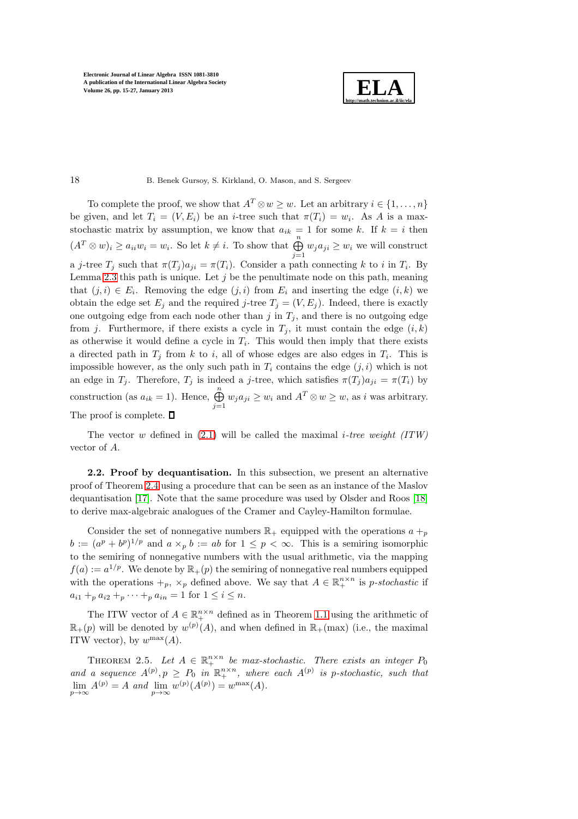

## 18 B. Benek Gursoy, S. Kirkland, O. Mason, and S. Sergeev

To complete the proof, we show that  $A^T \otimes w \geq w$ . Let an arbitrary  $i \in \{1, \ldots, n\}$ be given, and let  $T_i = (V, E_i)$  be an *i*-tree such that  $\pi(T_i) = w_i$ . As A is a maxstochastic matrix by assumption, we know that  $a_{ik} = 1$  for some k. If  $k = i$  then  $(A^T \otimes w)_i \ge a_{ii}w_i = w_i$ . So let  $k \neq i$ . To show that  $\bigoplus^n$  $\bigoplus_{j=1} w_j a_{ji} \geq w_i$  we will construct a j-tree  $T_j$  such that  $\pi(T_j)a_{ji} = \pi(T_i)$ . Consider a path connecting k to i in  $T_i$ . By Lemma [2.3](#page-2-0) this path is unique. Let  $j$  be the penultimate node on this path, meaning that  $(j, i) \in E_i$ . Removing the edge  $(j, i)$  from  $E_i$  and inserting the edge  $(i, k)$  we obtain the edge set  $E_j$  and the required j-tree  $T_j = (V, E_j)$ . Indeed, there is exactly one outgoing edge from each node other than  $j$  in  $T_j$ , and there is no outgoing edge from j. Furthermore, if there exists a cycle in  $T_j$ , it must contain the edge  $(i, k)$ as otherwise it would define a cycle in  $T_i$ . This would then imply that there exists a directed path in  $T_j$  from k to i, all of whose edges are also edges in  $T_i$ . This is impossible however, as the only such path in  $T_i$  contains the edge  $(j, i)$  which is not an edge in  $T_j$ . Therefore,  $T_j$  is indeed a j-tree, which satisfies  $\pi(T_j) a_{ji} = \pi(T_i)$  by construction (as  $a_{ik} = 1$ ). Hence,  $\bigoplus_{j=1}^{n} w_j a_{ji} \geq w_i$  and  $A^T \otimes w \geq w$ , as i was arbitrary. The proof is complete.  $\square$ 

The vector w defined in  $(2.1)$  will be called the maximal *i-tree weight*  $(ITW)$ vector of A.

2.2. Proof by dequantisation. In this subsection, we present an alternative proof of Theorem [2.4](#page-2-2) using a procedure that can be seen as an instance of the Maslov dequantisation [\[17\]](#page-12-5). Note that the same procedure was used by Olsder and Roos [\[18\]](#page-12-6) to derive max-algebraic analogues of the Cramer and Cayley-Hamilton formulae.

Consider the set of nonnegative numbers  $\mathbb{R}_+$  equipped with the operations  $a +_p$  $b := (a^p + b^p)^{1/p}$  and  $a \times_p b := ab$  for  $1 \leq p < \infty$ . This is a semiring isomorphic to the semiring of nonnegative numbers with the usual arithmetic, via the mapping  $f(a) := a^{1/p}$ . We denote by  $\mathbb{R}_+(p)$  the semiring of nonnegative real numbers equipped with the operations  $+_p$ ,  $\times_p$  defined above. We say that  $A \in \mathbb{R}^{n \times n}_+$  is p-stochastic if  $a_{i1} + p a_{i2} + p \cdots + p a_{in} = 1$  for  $1 \leq i \leq n$ .

The ITW vector of  $A \in \mathbb{R}_+^{n \times n}$  defined as in Theorem [1.1](#page-1-0) using the arithmetic of  $\mathbb{R}_+(p)$  will be denoted by  $w^{(p)}(A)$ , and when defined in  $\mathbb{R}_+(\text{max})$  (i.e., the maximal ITW vector), by  $w^{\max}(A)$ .

<span id="page-3-0"></span>THEOREM 2.5. Let  $A \in \mathbb{R}_+^{n \times n}$  be max-stochastic. There exists an integer  $P_0$ and a sequence  $A^{(p)}, p \ge P_0$  in  $\mathbb{R}^{n \times n}_+$ , where each  $A^{(p)}$  is p-stochastic, such that  $\lim_{p\to\infty} A^{(p)} = A$  and  $\lim_{p\to\infty} w^{(p)}(A^{(p)}) = w^{\max}(A)$ .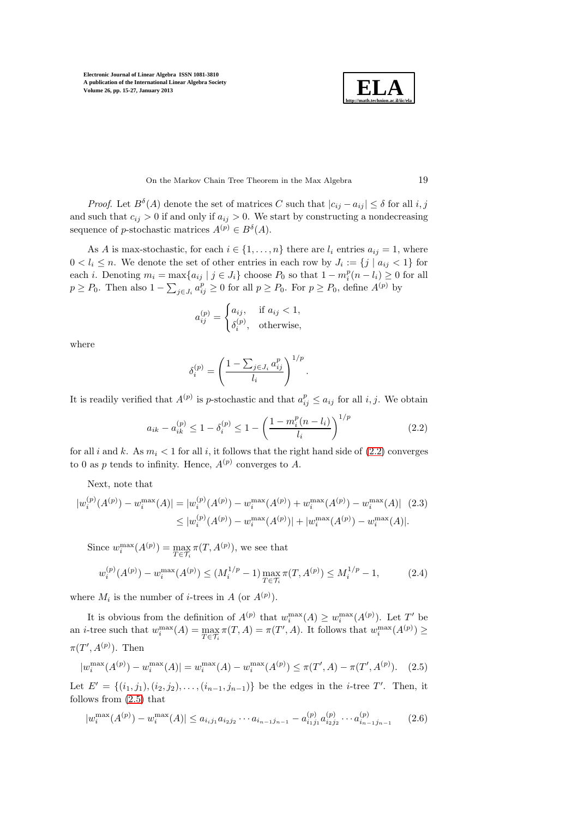

On the Markov Chain Tree Theorem in the Max Algebra 19

*Proof.* Let  $B^{\delta}(A)$  denote the set of matrices C such that  $|c_{ij} - a_{ij}| \leq \delta$  for all i, j and such that  $c_{ij} > 0$  if and only if  $a_{ij} > 0$ . We start by constructing a nondecreasing sequence of *p*-stochastic matrices  $A^{(p)} \in B^{\delta}(A)$ .

As A is max-stochastic, for each  $i \in \{1, \ldots, n\}$  there are  $l_i$  entries  $a_{ij} = 1$ , where  $0 < l_i \leq n$ . We denote the set of other entries in each row by  $J_i := \{j \mid a_{ij} < 1\}$  for each *i*. Denoting  $m_i = \max\{a_{ij} | j \in J_i\}$  choose  $P_0$  so that  $1 - m_i^p(n - l_i) \geq 0$  for all  $p \ge P_0$ . Then also  $1 - \sum_{j \in J_i} a_{ij}^p \ge 0$  for all  $p \ge P_0$ . For  $p \ge P_0$ , define  $A^{(p)}$  by

$$
a_{ij}^{(p)} = \begin{cases} a_{ij}, & \text{if } a_{ij} < 1, \\ \delta_i^{(p)}, & \text{otherwise,} \end{cases}
$$

where

<span id="page-4-4"></span>
$$
\delta_i^{(p)} = \left(\frac{1 - \sum_{j \in J_i} a_{ij}^p}{l_i}\right)^{1/p}.
$$

It is readily verified that  $A^{(p)}$  is p-stochastic and that  $a_{ij}^p \le a_{ij}$  for all i, j. We obtain

<span id="page-4-0"></span>
$$
a_{ik} - a_{ik}^{(p)} \le 1 - \delta_i^{(p)} \le 1 - \left(\frac{1 - m_i^p (n - l_i)}{l_i}\right)^{1/p} \tag{2.2}
$$

for all i and k. As  $m_i < 1$  for all i, it follows that the right hand side of [\(2.2\)](#page-4-0) converges to 0 as p tends to infinity. Hence,  $A^{(p)}$  converges to A.

Next, note that

$$
|w_i^{(p)}(A^{(p)}) - w_i^{\max}(A)| = |w_i^{(p)}(A^{(p)}) - w_i^{\max}(A^{(p)}) + w_i^{\max}(A^{(p)}) - w_i^{\max}(A)| \quad (2.3)
$$
  

$$
\leq |w_i^{(p)}(A^{(p)}) - w_i^{\max}(A^{(p)})| + |w_i^{\max}(A^{(p)}) - w_i^{\max}(A)|.
$$

Since  $w_i^{\max}(A^{(p)}) = \max_{T \in \mathcal{T}_i} \pi(T, A^{(p)}),$  we see that

<span id="page-4-2"></span>
$$
w_i^{(p)}(A^{(p)}) - w_i^{\max}(A^{(p)}) \le (M_i^{1/p} - 1) \max_{T \in \mathcal{T}_i} \pi(T, A^{(p)}) \le M_i^{1/p} - 1,\tag{2.4}
$$

where  $M_i$  is the number of *i*-trees in A (or  $A^{(p)}$ ).

It is obvious from the definition of  $A^{(p)}$  that  $w_i^{\max}(A) \geq w_i^{\max}(A^{(p)})$ . Let T' be an *i*-tree such that  $w_i^{\max}(A) = \max_{T \in \mathcal{T}_i} \pi(T, A) = \pi(T', A)$ . It follows that  $w_i^{\max}(A^{(p)}) \ge$  $\pi(T', A^{(p)})$ . Then

<span id="page-4-1"></span>
$$
|w_i^{\max}(A^{(p)}) - w_i^{\max}(A)| = w_i^{\max}(A) - w_i^{\max}(A^{(p)}) \le \pi(T', A) - \pi(T', A^{(p)}). \tag{2.5}
$$

Let  $E' = \{(i_1, j_1), (i_2, j_2), \ldots, (i_{n-1}, j_{n-1})\}$  be the edges in the *i*-tree T'. Then, it follows from [\(2.5\)](#page-4-1) that

<span id="page-4-3"></span>
$$
|w_i^{\max}(A^{(p)}) - w_i^{\max}(A)| \le a_{i_i j_1} a_{i_2 j_2} \cdots a_{i_{n-1} j_{n-1}} - a_{i_1 j_1}^{(p)} a_{i_2 j_2}^{(p)} \cdots a_{i_{n-1} j_{n-1}}^{(p)}
$$
(2.6)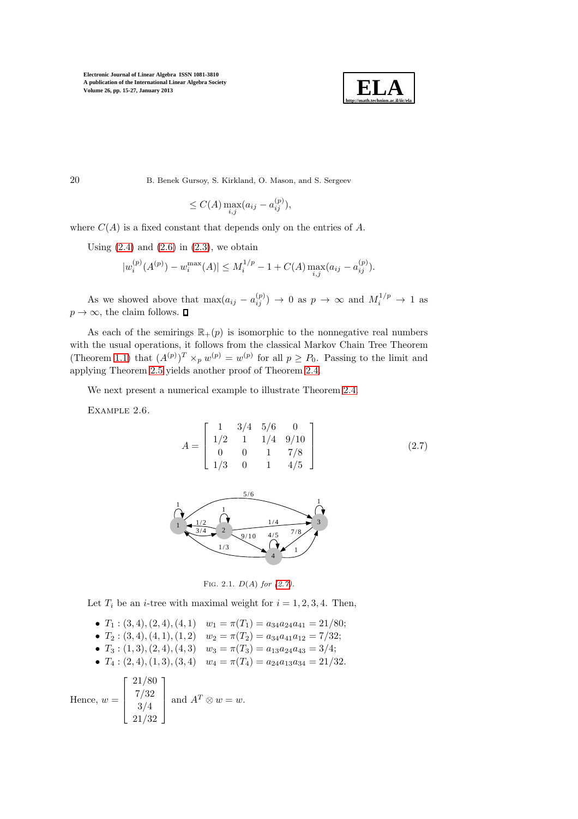

$$
\leq C(A) \max_{i,j} (a_{ij} - a_{ij}^{(p)}),
$$

where  $C(A)$  is a fixed constant that depends only on the entries of A.

Using  $(2.4)$  and  $(2.6)$  in  $(2.3)$ , we obtain

$$
|w_i^{(p)}(A^{(p)}) - w_i^{\max}(A)| \le M_i^{1/p} - 1 + C(A) \max_{i,j} (a_{ij} - a_{ij}^{(p)}).
$$

As we showed above that  $\max(a_{ij} - a_{ij}^{(p)}) \to 0$  as  $p \to \infty$  and  $M_i^{1/p} \to 1$  as  $p \to \infty$ , the claim follows.  $\square$ 

As each of the semirings  $\mathbb{R}_+(p)$  is isomorphic to the nonnegative real numbers with the usual operations, it follows from the classical Markov Chain Tree Theorem (Theorem [1.1\)](#page-1-0) that  $(A^{(p)})^T \times_p w^{(p)} = w^{(p)}$  for all  $p \geq P_0$ . Passing to the limit and applying Theorem [2.5](#page-3-0) yields another proof of Theorem [2.4.](#page-2-2)

We next present a numerical example to illustrate Theorem [2.4.](#page-2-2)

EXAMPLE 2.6.

<span id="page-5-0"></span>
$$
A = \begin{bmatrix} 1 & 3/4 & 5/6 & 0 \\ 1/2 & 1 & 1/4 & 9/10 \\ 0 & 0 & 1 & 7/8 \\ 1/3 & 0 & 1 & 4/5 \end{bmatrix}
$$
 (2.7)



Fig. 2.1. D(A) *for [\(2.7\)](#page-5-0).*

Let  $T_i$  be an *i*-tree with maximal weight for  $i = 1, 2, 3, 4$ . Then,

\n- \n
$$
T_1: (3, 4), (2, 4), (4, 1)
$$
\n
$$
w_1 = \pi(T_1) = a_{34}a_{24}a_{41} = 21/80;
$$
\n
\n- \n
$$
T_2: (3, 4), (4, 1), (1, 2)
$$
\n
$$
w_2 = \pi(T_2) = a_{34}a_{41}a_{12} = \frac{7}{32};
$$
\n
\n- \n
$$
T_3: (1, 3), (2, 4), (4, 3)
$$
\n
$$
w_3 = \pi(T_3) = a_{13}a_{24}a_{43} = \frac{3}{4};
$$
\n
\n- \n
$$
T_4: (2, 4), (1, 3), (3, 4)
$$
\n
$$
w_4 = \pi(T_4) = a_{24}a_{13}a_{34} = \frac{21}{32}.
$$
\n
\n- \n Hence, 
$$
w = \begin{bmatrix} 21/80 \\ 7/32 \\ 3/4 \\ 21/32 \end{bmatrix}
$$
\nand 
$$
A^T \otimes w = w.
$$
\n
\n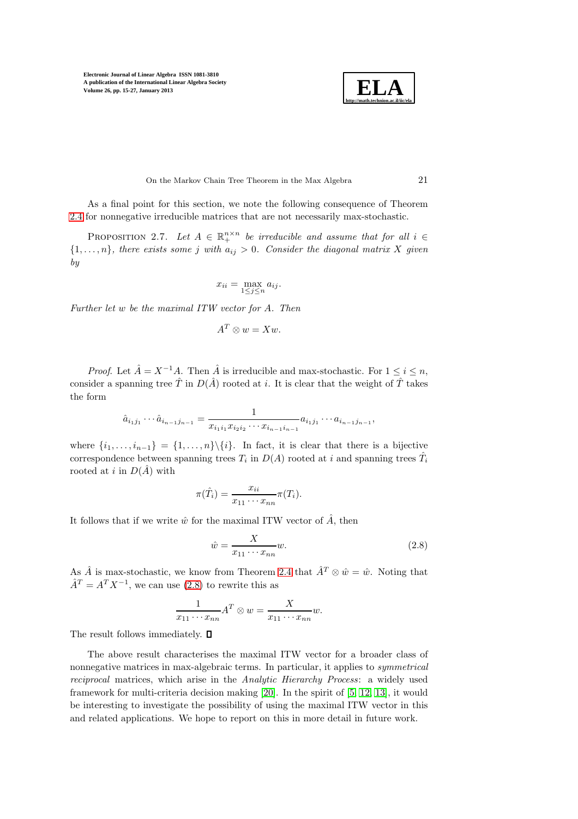

On the Markov Chain Tree Theorem in the Max Algebra 21

As a final point for this section, we note the following consequence of Theorem [2.4](#page-2-2) for nonnegative irreducible matrices that are not necessarily max-stochastic.

PROPOSITION 2.7. Let  $A \in \mathbb{R}^{n \times n}_+$  be irreducible and assume that for all  $i \in$  ${1, \ldots, n}$ , there exists some j with  $a_{ij} > 0$ . Consider the diagonal matrix X given by

$$
x_{ii} = \max_{1 \le j \le n} a_{ij}.
$$

Further let w be the maximal ITW vector for A. Then

$$
A^T \otimes w = Xw.
$$

*Proof.* Let  $\hat{A} = X^{-1}A$ . Then  $\hat{A}$  is irreducible and max-stochastic. For  $1 \leq i \leq n$ , consider a spanning tree  $\hat{T}$  in  $D(\hat{A})$  rooted at i. It is clear that the weight of  $\hat{T}$  takes the form

$$
\hat{a}_{i_1j_1}\cdots \hat{a}_{i_{n-1}j_{n-1}} = \frac{1}{x_{i_1i_1}x_{i_2i_2}\cdots x_{i_{n-1}i_{n-1}}}a_{i_1j_1}\cdots a_{i_{n-1}j_{n-1}},
$$

where  $\{i_1, \ldots, i_{n-1}\} = \{1, \ldots, n\} \backslash \{i\}.$  In fact, it is clear that there is a bijective correspondence between spanning trees  $T_i$  in  $D(A)$  rooted at i and spanning trees  $\hat{T_i}$ rooted at i in  $D(\hat{A})$  with

$$
\pi(\hat{T}_i) = \frac{x_{ii}}{x_{11} \cdots x_{nn}} \pi(T_i).
$$

It follows that if we write  $\hat{w}$  for the maximal ITW vector of  $\hat{A}$ , then

<span id="page-6-0"></span>
$$
\hat{w} = \frac{X}{x_{11} \cdots x_{nn}} w.
$$
\n(2.8)

As  $\hat{A}$  is max-stochastic, we know from Theorem [2.4](#page-2-2) that  $\hat{A}^T \otimes \hat{w} = \hat{w}$ . Noting that  $\hat{A}^T = A^T X^{-1}$ , we can use [\(2.8\)](#page-6-0) to rewrite this as

$$
\frac{1}{x_{11} \cdots x_{nn}} A^T \otimes w = \frac{X}{x_{11} \cdots x_{nn}} w.
$$

The result follows immediately.  $\Box$ 

The above result characterises the maximal ITW vector for a broader class of nonnegative matrices in max-algebraic terms. In particular, it applies to symmetrical reciprocal matrices, which arise in the Analytic Hierarchy Process: a widely used framework for multi-criteria decision making [\[20\]](#page-12-7). In the spirit of [\[5,](#page-11-8) [12,](#page-11-9) [13\]](#page-11-10), it would be interesting to investigate the possibility of using the maximal ITW vector in this and related applications. We hope to report on this in more detail in future work.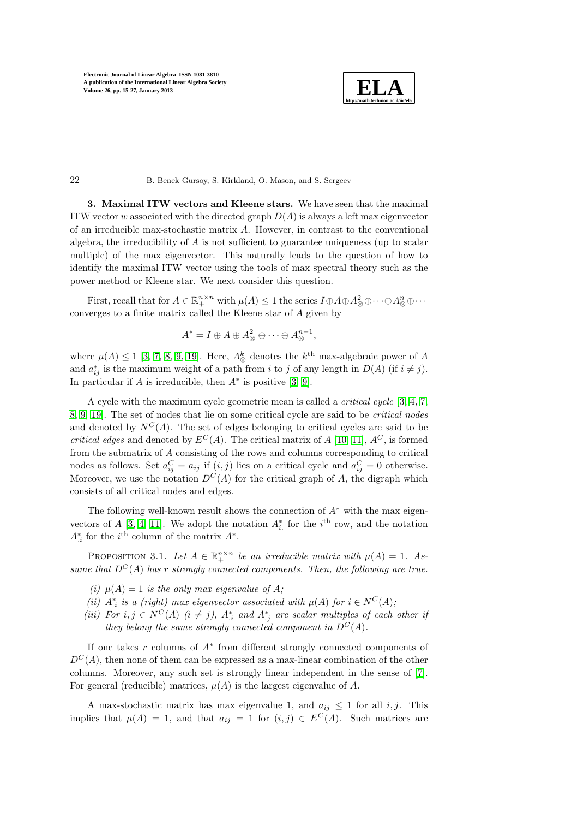

3. Maximal ITW vectors and Kleene stars. We have seen that the maximal ITW vector w associated with the directed graph  $D(A)$  is always a left max eigenvector of an irreducible max-stochastic matrix A. However, in contrast to the conventional algebra, the irreducibility of  $A$  is not sufficient to guarantee uniqueness (up to scalar multiple) of the max eigenvector. This naturally leads to the question of how to identify the maximal ITW vector using the tools of max spectral theory such as the power method or Kleene star. We next consider this question.

First, recall that for  $A \in \mathbb{R}_+^{n \times n}$  with  $\mu(A) \leq 1$  the series  $I \oplus A \oplus A^2_{\otimes} \oplus \cdots \oplus A^n_{\otimes} \oplus \cdots$ converges to a finite matrix called the Kleene star of A given by

$$
A^* = I \oplus A \oplus A^2_{\otimes} \oplus \cdots \oplus A^{n-1}_{\otimes},
$$

where  $\mu(A) \leq 1$  [\[3,](#page-11-5) [7,](#page-11-6) [8,](#page-11-11) [9,](#page-11-7) [19\]](#page-12-8). Here,  $A^k_{\otimes}$  denotes the  $k^{\text{th}}$  max-algebraic power of A and  $a_{ij}^*$  is the maximum weight of a path from i to j of any length in  $D(A)$  (if  $i \neq j$ ). In particular if  $A$  is irreducible, then  $A^*$  is positive [\[3,](#page-11-5) [9\]](#page-11-7).

A cycle with the maximum cycle geometric mean is called a *critical cycle* [\[3,](#page-11-5) [4,](#page-11-4) [7,](#page-11-6) [8,](#page-11-11) [9,](#page-11-7) [19\]](#page-12-8). The set of nodes that lie on some critical cycle are said to be critical nodes and denoted by  $N^C(A)$ . The set of edges belonging to critical cycles are said to be critical edges and denoted by  $E^{C}(A)$ . The critical matrix of A [\[10,](#page-11-12) [11\]](#page-11-13),  $A^{C}$ , is formed from the submatrix of A consisting of the rows and columns corresponding to critical nodes as follows. Set  $a_{ij}^C = a_{ij}$  if  $(i, j)$  lies on a critical cycle and  $a_{ij}^C = 0$  otherwise. Moreover, we use the notation  $D^{C}(A)$  for the critical graph of A, the digraph which consists of all critical nodes and edges.

The following well-known result shows the connection of  $A^*$  with the max eigen-vectors of A [\[3,](#page-11-5) [4,](#page-11-4) [11\]](#page-11-13). We adopt the notation  $A_i^*$  for the  $i^{\text{th}}$  row, and the notation  $A_{i}^{*}$  for the  $i^{\text{th}}$  column of the matrix  $A^{*}$ .

PROPOSITION 3.1. Let  $A \in \mathbb{R}^{n \times n}_+$  be an irreducible matrix with  $\mu(A) = 1$ . Assume that  $D^{C}(A)$  has r strongly connected components. Then, the following are true.

- (i)  $\mu(A) = 1$  is the only max eigenvalue of A;
- (ii)  $A_{i}^{*}$  is a (right) max eigenvector associated with  $\mu(A)$  for  $i \in N^{C}(A)$ ;
- (iii) For  $i, j \in N^C(A)$  ( $i \neq j$ ),  $A_{i}^*$  and  $A_{j}^*$  are scalar multiples of each other if they belong the same strongly connected component in  $D^{C}(A)$ .

If one takes  $r$  columns of  $A^*$  from different strongly connected components of  $D^{C}(A)$ , then none of them can be expressed as a max-linear combination of the other columns. Moreover, any such set is strongly linear independent in the sense of [\[7\]](#page-11-6). For general (reducible) matrices,  $\mu(A)$  is the largest eigenvalue of A.

A max-stochastic matrix has max eigenvalue 1, and  $a_{ij} \leq 1$  for all i, j. This implies that  $\mu(A) = 1$ , and that  $a_{ij} = 1$  for  $(i, j) \in E^C(A)$ . Such matrices are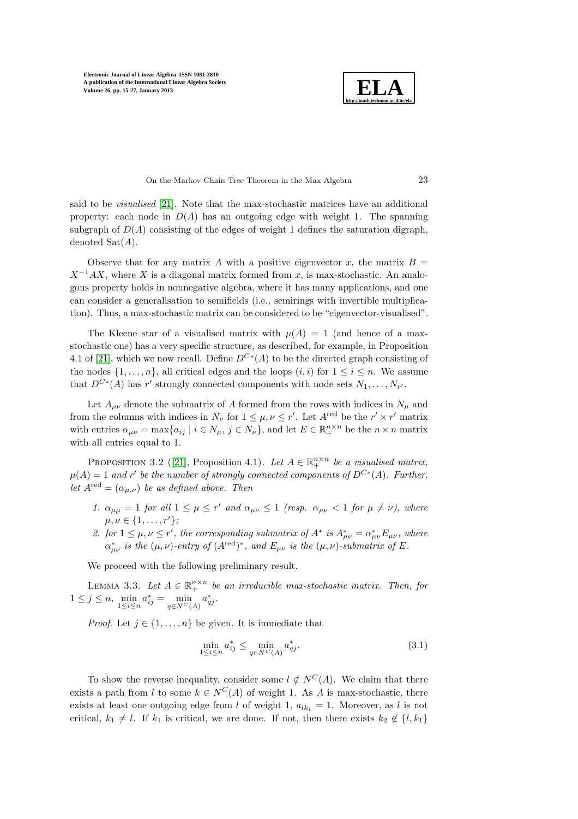

On the Markov Chain Tree Theorem in the Max Algebra 23

said to be visualised [\[21\]](#page-12-9). Note that the max-stochastic matrices have an additional property: each node in  $D(A)$  has an outgoing edge with weight 1. The spanning subgraph of  $D(A)$  consisting of the edges of weight 1 defines the saturation digraph, denoted  $\text{Sat}(A)$ .

Observe that for any matrix A with a positive eigenvector x, the matrix  $B =$  $X^{-1}AX$ , where X is a diagonal matrix formed from x, is max-stochastic. An analogous property holds in nonnegative algebra, where it has many applications, and one can consider a generalisation to semifields (i.e., semirings with invertible multiplication). Thus, a max-stochastic matrix can be considered to be "eigenvector-visualised".

The Kleene star of a visualised matrix with  $\mu(A) = 1$  (and hence of a maxstochastic one) has a very specific structure, as described, for example, in Proposition 4.1 of [\[21\]](#page-12-9), which we now recall. Define  $D^{C*}(A)$  to be the directed graph consisting of the nodes  $\{1, \ldots, n\}$ , all critical edges and the loops  $(i, i)$  for  $1 \leq i \leq n$ . We assume that  $D^{C*}(A)$  has r' strongly connected components with node sets  $N_1, \ldots, N_{r'}$ .

Let  $A_{\mu\nu}$  denote the submatrix of A formed from the rows with indices in  $N_{\mu}$  and from the columns with indices in  $N_{\nu}$  for  $1 \leq \mu, \nu \leq r'$ . Let  $A^{\text{red}}$  be the  $r' \times r'$  matrix with entries  $\alpha_{\mu\nu} = \max\{a_{ij} \mid i \in N_{\mu}, j \in N_{\nu}\}\$ , and let  $E \in \mathbb{R}^{n \times n}_{+}$  be the  $n \times n$  matrix with all entries equal to 1.

<span id="page-8-2"></span>PROPOSITION 3.2 ([\[21\]](#page-12-9), Proposition 4.1). Let  $A \in \mathbb{R}^{n \times n}_+$  be a visualised matrix,  $\mu(A) = 1$  and r' be the number of strongly connected components of  $D^{C*}(A)$ . Further, let  $A^{\text{red}} = (\alpha_{\mu,\nu})$  be as defined above. Then

- 1.  $\alpha_{\mu\mu} = 1$  for all  $1 \leq \mu \leq r'$  and  $\alpha_{\mu\nu} \leq 1$  (resp.  $\alpha_{\mu\nu} < 1$  for  $\mu \neq \nu$ ), where  $\mu, \nu \in \{1, \ldots, r'\};$
- 2. for  $1 \leq \mu, \nu \leq r'$ , the corresponding submatrix of  $A^*$  is  $A^*_{\mu\nu} = \alpha^*_{\mu\nu} E_{\mu\nu}$ , where  $\alpha^*_{\mu\nu}$  is the ( $\mu, \nu$ )-entry of ( $A^{\text{red}}$ )<sup>\*</sup>, and  $E_{\mu\nu}$  is the ( $\mu, \nu$ )-submatrix of E.

<span id="page-8-1"></span>We proceed with the following preliminary result.

LEMMA 3.3. Let  $A \in \mathbb{R}^{n \times n}_+$  be an irreducible max-stochastic matrix. Then, for  $1 \leq j \leq n$ ,  $\min_{1 \leq i \leq n} a_{ij}^* = \min_{q \in N^C(A)} a_{qj}^*$ .

*Proof.* Let  $j \in \{1, \ldots, n\}$  be given. It is immediate that

<span id="page-8-0"></span>
$$
\min_{1 \le i \le n} a_{ij}^* \le \min_{q \in N^C(A)} a_{qj}^*.
$$
\n(3.1)

To show the reverse inequality, consider some  $l \notin N^C(A)$ . We claim that there exists a path from l to some  $k \in N^C(A)$  of weight 1. As A is max-stochastic, there exists at least one outgoing edge from l of weight 1,  $a_{lk_1} = 1$ . Moreover, as l is not critical,  $k_1 \neq l$ . If  $k_1$  is critical, we are done. If not, then there exists  $k_2 \notin \{l, k_1\}$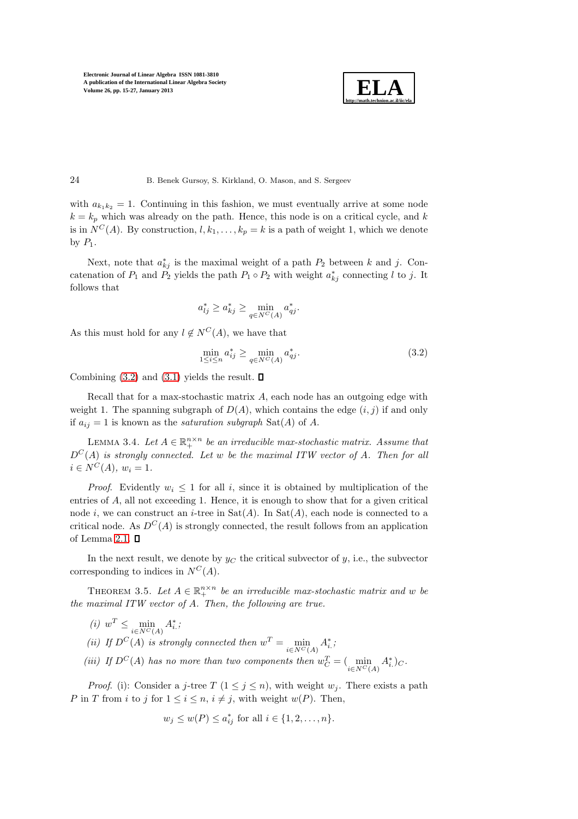

### 24 B. Benek Gursoy, S. Kirkland, O. Mason, and S. Sergeev

with  $a_{k_1k_2} = 1$ . Continuing in this fashion, we must eventually arrive at some node  $k = k_p$  which was already on the path. Hence, this node is on a critical cycle, and k is in  $N^C(A)$ . By construction,  $l, k_1, \ldots, k_p = k$  is a path of weight 1, which we denote by  $P_1$ .

Next, note that  $a_{kj}^*$  is the maximal weight of a path  $P_2$  between k and j. Concatenation of  $P_1$  and  $P_2$  yields the path  $P_1 \circ P_2$  with weight  $a_{kj}^*$  connecting l to j. It follows that

$$
a_{lj}^* \ge a_{kj}^* \ge \min_{q \in N^C(A)} a_{qj}^*.
$$

As this must hold for any  $l \notin N^C(A)$ , we have that

<span id="page-9-0"></span>
$$
\min_{1 \le i \le n} a_{ij}^* \ge \min_{q \in N^C(A)} a_{qj}^*.
$$
\n(3.2)

Combining  $(3.2)$  and  $(3.1)$  yields the result.  $\Box$ 

Recall that for a max-stochastic matrix A, each node has an outgoing edge with weight 1. The spanning subgraph of  $D(A)$ , which contains the edge  $(i, j)$  if and only if  $a_{ij} = 1$  is known as the *saturation subgraph* Sat(A) of A.

<span id="page-9-1"></span>LEMMA 3.4. Let  $A \in \mathbb{R}^{n \times n}_+$  be an irreducible max-stochastic matrix. Assume that  $D^{C}(A)$  is strongly connected. Let w be the maximal ITW vector of A. Then for all  $i \in N^C(A), w_i = 1.$ 

*Proof.* Evidently  $w_i \leq 1$  for all i, since it is obtained by multiplication of the entries of A, all not exceeding 1. Hence, it is enough to show that for a given critical node i, we can construct an i-tree in  $\text{Sat}(A)$ . In  $\text{Sat}(A)$ , each node is connected to a critical node. As  $D^{C}(A)$  is strongly connected, the result follows from an application of Lemma [2.1.](#page-2-3)  $\square$ 

<span id="page-9-2"></span>In the next result, we denote by  $y_C$  the critical subvector of y, i.e., the subvector corresponding to indices in  $N^C(A)$ .

THEOREM 3.5. Let  $A \in \mathbb{R}_+^{n \times n}$  be an irreducible max-stochastic matrix and w be the maximal ITW vector of A. Then, the following are true.

(*i*)  $w^T \le \min_{i \in N^C(A)} A^*_{i.};$ 

(ii) If  $D^{C}(A)$  is strongly connected then  $w^{T} = \min_{i \in N^{C}(A)} A_{i}^{*}$ ;

(iii) If  $D^{C}(A)$  has no more than two components then  $w_C^T = (\min_{i \in N^{C}(A)} A_i^*)_{C}$ .

*Proof.* (i): Consider a j-tree T  $(1 \leq j \leq n)$ , with weight  $w_j$ . There exists a path P in T from i to j for  $1 \leq i \leq n$ ,  $i \neq j$ , with weight  $w(P)$ . Then,

$$
w_j \le w(P) \le a_{ij}^*
$$
 for all  $i \in \{1, 2, ..., n\}.$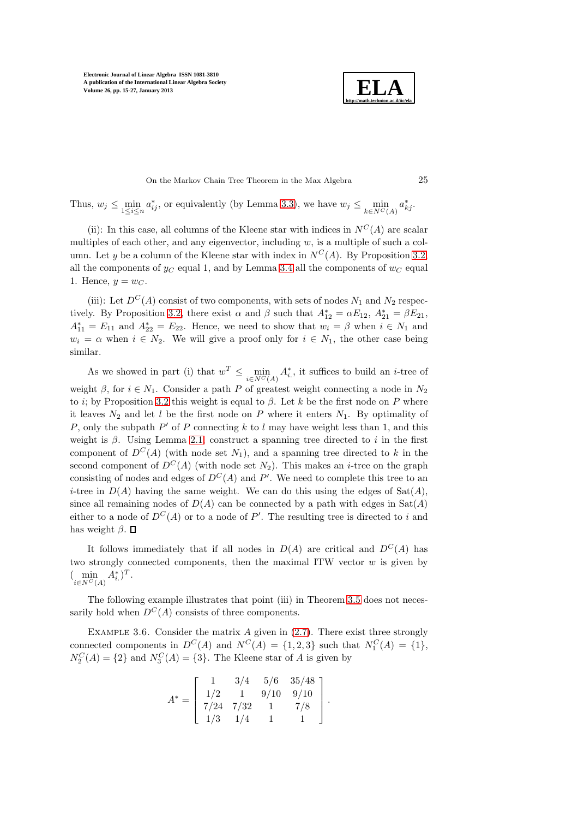

On the Markov Chain Tree Theorem in the Max Algebra 25

Thus,  $w_j \le \min_{1 \le i \le n} a_{ij}^*$ , or equivalently (by Lemma [3.3\)](#page-8-1), we have  $w_j \le \min_{k \in N^C(A)} a_{kj}^*$ .

(ii): In this case, all columns of the Kleene star with indices in  $N^C(A)$  are scalar multiples of each other, and any eigenvector, including  $w$ , is a multiple of such a column. Let y be a column of the Kleene star with index in  $N^C(A)$ . By Proposition [3.2,](#page-8-2) all the components of  $y_C$  equal 1, and by Lemma [3.4](#page-9-1) all the components of  $w_C$  equal 1. Hence,  $y = w_C$ .

(iii): Let  $D^{C}(A)$  consist of two components, with sets of nodes  $N_1$  and  $N_2$  respec-tively. By Proposition [3.2,](#page-8-2) there exist  $\alpha$  and  $\beta$  such that  $A_{12}^* = \alpha E_{12}$ ,  $A_{21}^* = \beta E_{21}$ ,  $A_{11}^* = E_{11}$  and  $A_{22}^* = E_{22}$ . Hence, we need to show that  $w_i = \beta$  when  $i \in N_1$  and  $w_i = \alpha$  when  $i \in N_2$ . We will give a proof only for  $i \in N_1$ , the other case being similar.

As we showed in part (i) that  $w^T \n\t\leq \min_{i \in N^C(A)} A_i^*$ , it suffices to build an *i*-tree of weight  $\beta$ , for  $i \in N_1$ . Consider a path P of greatest weight connecting a node in  $N_2$ to i; by Proposition [3.2](#page-8-2) this weight is equal to  $\beta$ . Let k be the first node on P where it leaves  $N_2$  and let l be the first node on P where it enters  $N_1$ . By optimality of P, only the subpath  $P'$  of P connecting k to l may have weight less than 1, and this weight is  $\beta$ . Using Lemma [2.1,](#page-2-3) construct a spanning tree directed to i in the first component of  $D^{C}(A)$  (with node set  $N_1$ ), and a spanning tree directed to k in the second component of  $D^{C}(A)$  (with node set  $N_2$ ). This makes an *i*-tree on the graph consisting of nodes and edges of  $D^{C}(A)$  and P'. We need to complete this tree to an *i*-tree in  $D(A)$  having the same weight. We can do this using the edges of  $Sat(A)$ , since all remaining nodes of  $D(A)$  can be connected by a path with edges in  $Sat(A)$ either to a node of  $D^{C}(A)$  or to a node of P'. The resulting tree is directed to i and has weight  $\beta$ .  $\Box$ 

It follows immediately that if all nodes in  $D(A)$  are critical and  $D^{C}(A)$  has two strongly connected components, then the maximal ITW vector  $w$  is given by  $(\min_{i \in N^{C}(A)} A_{i.}^{*})^{T}.$ 

The following example illustrates that point (iii) in Theorem [3.5](#page-9-2) does not necessarily hold when  $D^{C}(A)$  consists of three components.

EXAMPLE 3.6. Consider the matrix  $A$  given in  $(2.7)$ . There exist three strongly connected components in  $D^{C}(A)$  and  $N^{C}(A) = \{1, 2, 3\}$  such that  $N_1^{C}(A) = \{1\},\$  $N_2^C(A) = \{2\}$  and  $N_3^C(A) = \{3\}$ . The Kleene star of A is given by

$$
A^* = \left[ \begin{array}{rrrr} 1 & 3/4 & 5/6 & 35/48 \\ 1/2 & 1 & 9/10 & 9/10 \\ 7/24 & 7/32 & 1 & 7/8 \\ 1/3 & 1/4 & 1 & 1 \end{array} \right].
$$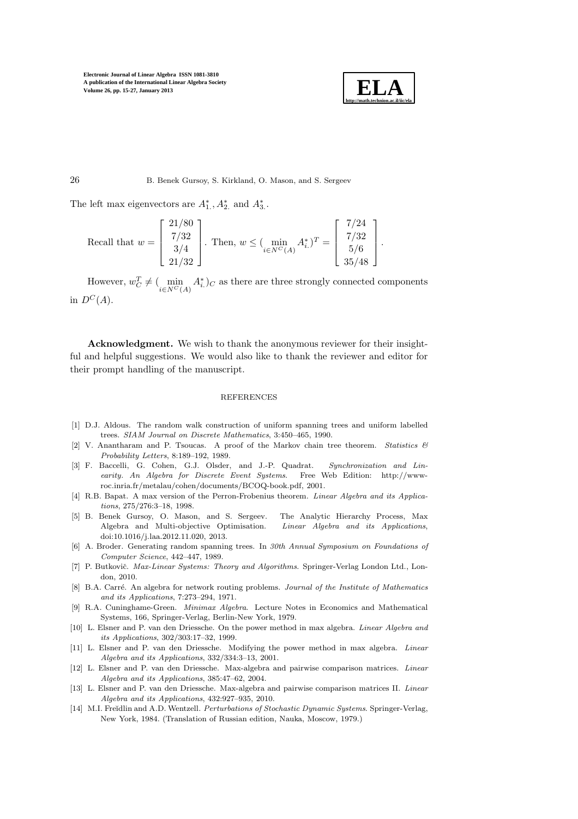

The left max eigenvectors are  $A_1^*, A_2^*$  and  $A_3^*$ .

Recall that 
$$
w = \begin{bmatrix} 21/80 \\ 7/32 \\ 3/4 \\ 21/32 \end{bmatrix}
$$
. Then,  $w \le (\min_{i \in N^C(A)} A_i^*)^T = \begin{bmatrix} 7/24 \\ 7/32 \\ 5/6 \\ 35/48 \end{bmatrix}$ .

However,  $w_C^T \neq (\min_{i \in N^C(A)} A_i^*)_C$  as there are three strongly connected components in  $D^C(A)$ .

Acknowledgment. We wish to thank the anonymous reviewer for their insightful and helpful suggestions. We would also like to thank the reviewer and editor for their prompt handling of the manuscript.

#### REFERENCES

- <span id="page-11-1"></span>[1] D.J. Aldous. The random walk construction of uniform spanning trees and uniform labelled trees. *SIAM Journal on Discrete Mathematics*, 3:450–465, 1990.
- <span id="page-11-2"></span>[2] V. Anantharam and P. Tsoucas. A proof of the Markov chain tree theorem. *Statistics & Probability Letters*, 8:189–192, 1989.
- <span id="page-11-5"></span>[3] F. Baccelli, G. Cohen, G.J. Olsder, and J.-P. Quadrat. *Synchronization and Linearity. An Algebra for Discrete Event Systems*. Free Web Edition: http://wwwroc.inria.fr/metalau/cohen/documents/BCOQ-book.pdf, 2001.
- <span id="page-11-4"></span>[4] R.B. Bapat. A max version of the Perron-Frobenius theorem. *Linear Algebra and its Applications*, 275/276:3–18, 1998.
- <span id="page-11-8"></span>[5] B. Benek Gursoy, O. Mason, and S. Sergeev. The Analytic Hierarchy Process, Max Algebra and Multi-objective Optimisation. *Linear Algebra and its Applications*, doi:10.1016/j.laa.2012.11.020, 2013.
- <span id="page-11-3"></span>[6] A. Broder. Generating random spanning trees. In *30th Annual Symposium on Foundations of Computer Science*, 442–447, 1989.
- <span id="page-11-6"></span>[7] P. Butkovič. *Max-Linear Systems: Theory and Algorithms*. Springer-Verlag London Ltd., London, 2010.
- <span id="page-11-11"></span>[8] B.A. Carré. An algebra for network routing problems. *Journal of the Institute of Mathematics and its Applications*, 7:273–294, 1971.
- <span id="page-11-7"></span>[9] R.A. Cuninghame-Green. *Minimax Algebra*. Lecture Notes in Economics and Mathematical Systems, 166, Springer-Verlag, Berlin-New York, 1979.
- <span id="page-11-12"></span>[10] L. Elsner and P. van den Driessche. On the power method in max algebra. *Linear Algebra and its Applications*, 302/303:17–32, 1999.
- <span id="page-11-13"></span>[11] L. Elsner and P. van den Driessche. Modifying the power method in max algebra. *Linear Algebra and its Applications*, 332/334:3–13, 2001.
- <span id="page-11-9"></span>[12] L. Elsner and P. van den Driessche. Max-algebra and pairwise comparison matrices. *Linear Algebra and its Applications*, 385:47–62, 2004.
- <span id="page-11-10"></span>[13] L. Elsner and P. van den Driessche. Max-algebra and pairwise comparison matrices II. *Linear Algebra and its Applications*, 432:927–935, 2010.
- <span id="page-11-0"></span>[14] M.I. Freĭdlin and A.D. Wentzell. *Perturbations of Stochastic Dynamic Systems*. Springer-Verlag, New York, 1984. (Translation of Russian edition, Nauka, Moscow, 1979.)